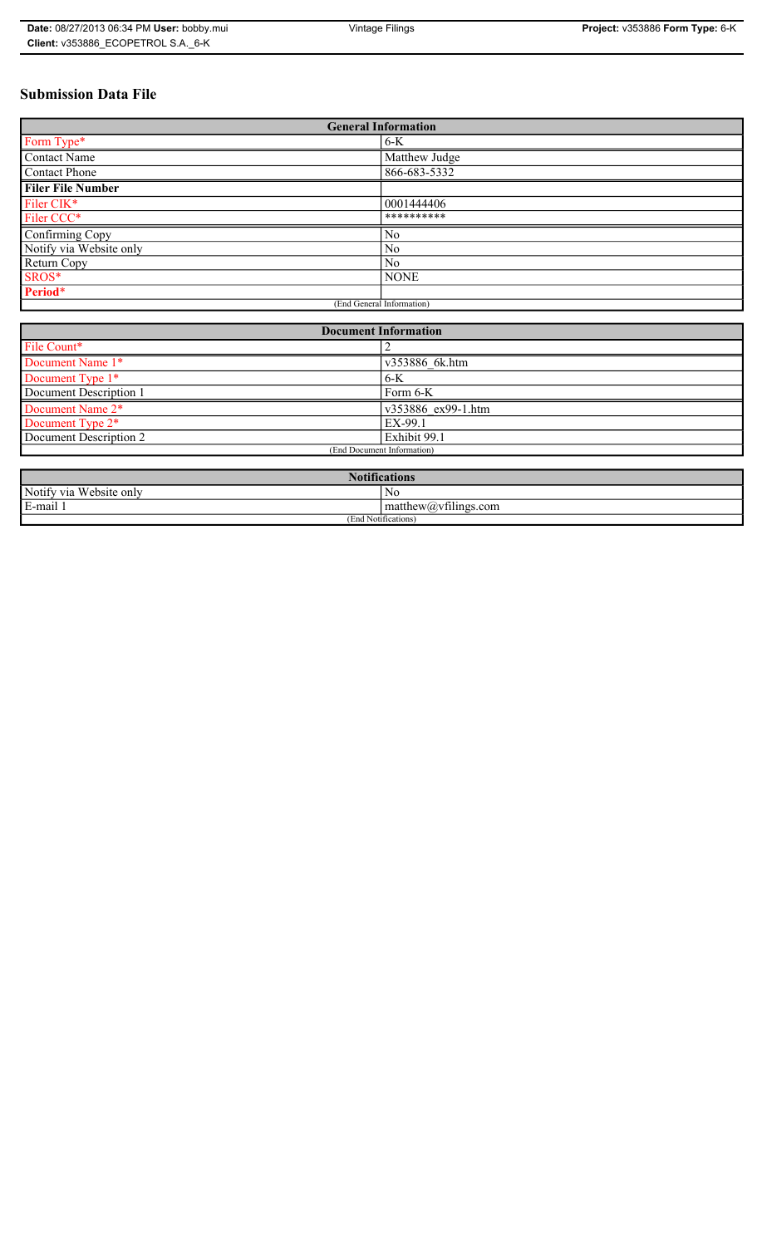# **Submission Data File**

| <b>General Information</b> |                |  |  |
|----------------------------|----------------|--|--|
| Form Type*                 | $6-K$          |  |  |
| <b>Contact Name</b>        | Matthew Judge  |  |  |
| <b>Contact Phone</b>       | 866-683-5332   |  |  |
| <b>Filer File Number</b>   |                |  |  |
| Filer CIK*                 | 0001444406     |  |  |
| Filer CCC*                 | **********     |  |  |
| Confirming Copy            | N <sub>0</sub> |  |  |
| Notify via Website only    | N <sub>0</sub> |  |  |
| Return Copy                | N <sub>0</sub> |  |  |
| SROS*                      | <b>NONE</b>    |  |  |
| Period*                    |                |  |  |
| (End General Information)  |                |  |  |

| <b>Document Information</b>  |                    |  |  |
|------------------------------|--------------------|--|--|
| File Count*                  |                    |  |  |
| Document Name 1*             | v353886 6k.htm     |  |  |
| Document Type 1*             | $6-K$              |  |  |
| Document Description 1       | Form 6-K           |  |  |
| Document Name 2*             | v353886 ex99-1.htm |  |  |
| Document Type 2 <sup>*</sup> | EX-99.1            |  |  |
| Document Description 2       | Exhibit 99.1       |  |  |
| (End Document Information)   |                    |  |  |
|                              |                    |  |  |

| <b>Notifications</b>         |                                                 |  |  |
|------------------------------|-------------------------------------------------|--|--|
| Notify via<br>u Website only | No                                              |  |  |
| E-mail                       | $\sim$ $\sim$<br>$ $ matthew $(a)$ vtilings com |  |  |
| (End Notifications)          |                                                 |  |  |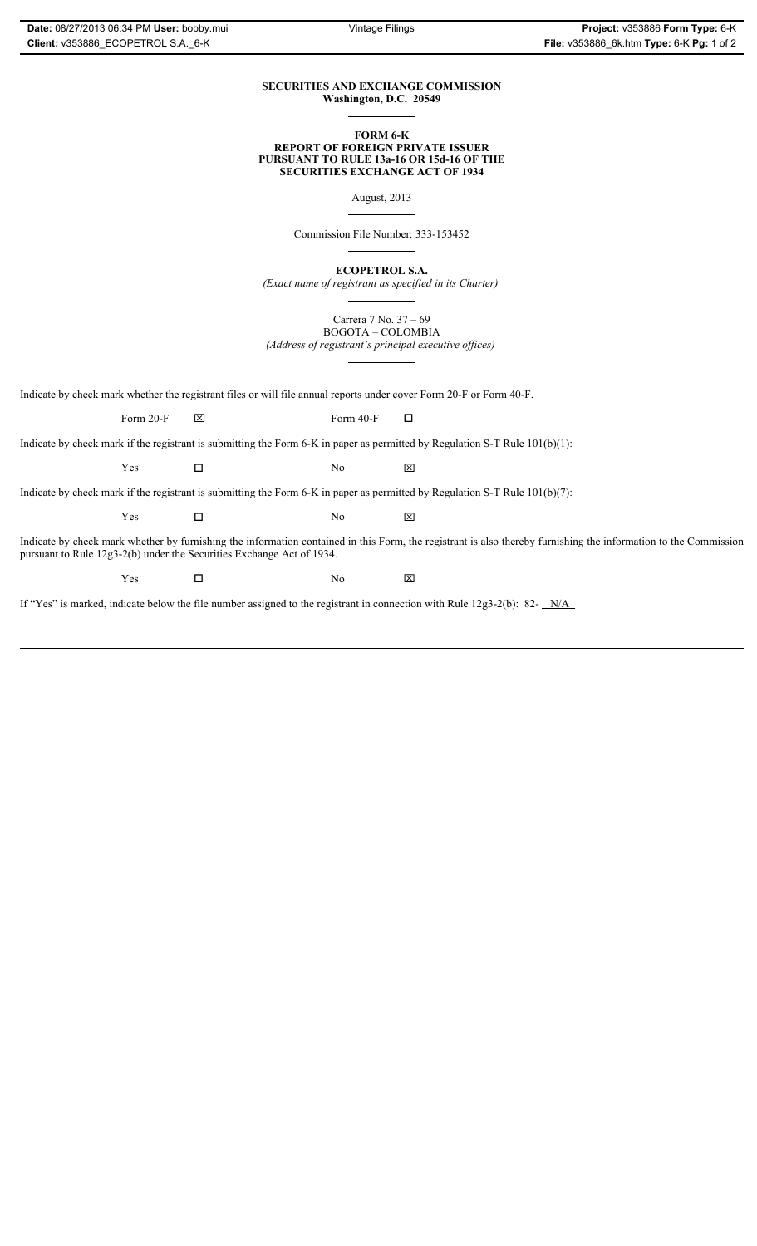### **SECURITIES AND EXCHANGE COMMISSION Washington, D.C. 20549**

#### **FORM 6-K REPORT OF FOREIGN PRIVATE ISSUER PURSUANT TO RULE 13a-16 OR 15d-16 OF THE SECURITIES EXCHANGE ACT OF 1934**

August, 2013

Commission File Number: 333-153452

**ECOPETROL S.A.**

*(Exact name of registrant as specified in its Charter)*

Carrera 7 No. 37 – 69 BOGOTA – COLOMBIA

*(Address of registrant's principal executive offices)*

Indicate by check mark whether the registrant files or will file annual reports under cover Form 20-F or Form 40-F.

Form 20-F  $\boxtimes$  Form 40-F  $\Box$ 

Indicate by check mark if the registrant is submitting the Form 6-K in paper as permitted by Regulation S-T Rule 101(b)(1):

 $Yes$   $\Box$  No  $X$ 

Indicate by check mark if the registrant is submitting the Form 6-K in paper as permitted by Regulation S-T Rule 101(b)(7):

 $Yes$   $\Box$  No  $X$ 

Indicate by check mark whether by furnishing the information contained in this Form, the registrant is also thereby furnishing the information to the Commission pursuant to Rule 12g3-2(b) under the Securities Exchange Act of 1934.

 $Yes$   $\square$  No  $X$ 

If "Yes" is marked, indicate below the file number assigned to the registrant in connection with Rule 12g3-2(b): 82- N/A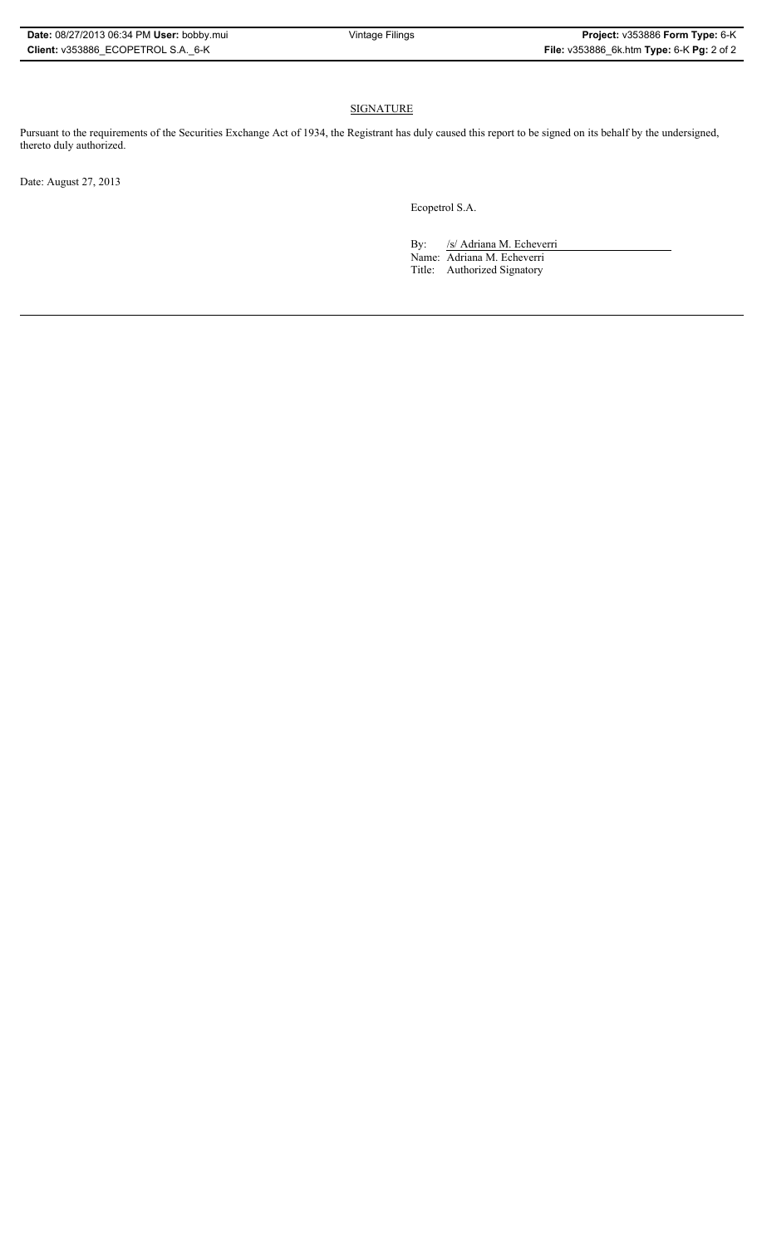## **SIGNATURE**

Pursuant to the requirements of the Securities Exchange Act of 1934, the Registrant has duly caused this report to be signed on its behalf by the undersigned, thereto duly authorized.

Date: August 27, 2013

Ecopetrol S.A.

By: /s/ Adriana M. Echeverri Name: Adriana M. Echeverri

Title: Authorized Signatory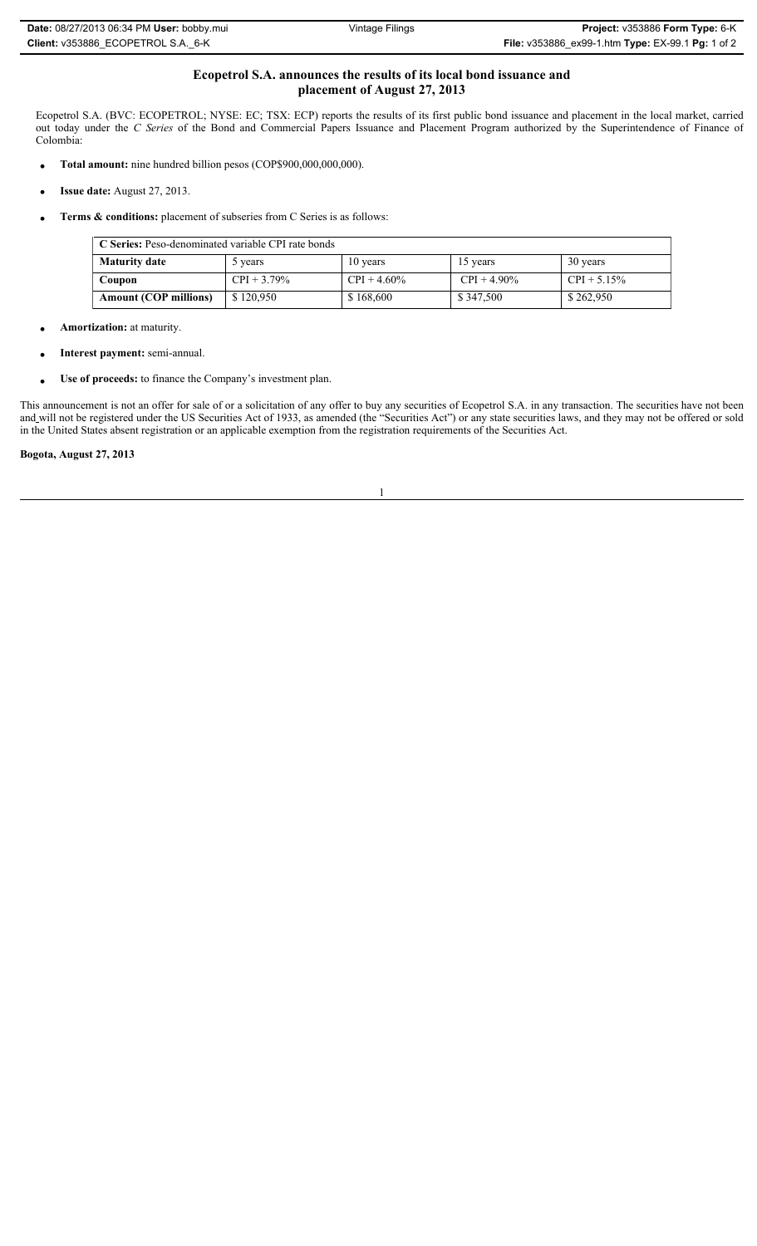## **Ecopetrol S.A. announces the results of its local bond issuance and placement of August 27, 2013**

Ecopetrol S.A. (BVC: ECOPETROL; NYSE: EC; TSX: ECP) reports the results of its first public bond issuance and placement in the local market, carried out today under the *C Series* of the Bond and Commercial Papers Issuance and Placement Program authorized by the Superintendence of Finance of Colombia:

- Total amount: nine hundred billion pesos (COP\$900,000,000,000).
- x **Issue date:** August 27, 2013.
- x **Terms & conditions:** placement of subseries from C Series is as follows:

| C Series: Peso-denominated variable CPI rate bonds |                |                       |                |                |  |  |
|----------------------------------------------------|----------------|-----------------------|----------------|----------------|--|--|
| <b>Maturity date</b>                               | 5 years        | 10 years              | 15 years       | 30 years       |  |  |
| Coupon                                             | $CPI + 3.79\%$ | $\text{CPI} + 4.60\%$ | $CPI + 4.90\%$ | $CPI + 5.15\%$ |  |  |
| <b>Amount (COP millions)</b>                       | \$120,950      | \$168,600             | \$347,500      | \$262,950      |  |  |

- Amortization: at maturity.
- x **Interest payment:** semi-annual.
- Use of proceeds: to finance the Company's investment plan.

This announcement is not an offer for sale of or a solicitation of any offer to buy any securities of Ecopetrol S.A. in any transaction. The securities have not been and will not be registered under the US Securities Act of 1933, as amended (the "Securities Act") or any state securities laws, and they may not be offered or sold in the United States absent registration or an applicable exemption from the registration requirements of the Securities Act.

**Bogota, August 27, 2013**